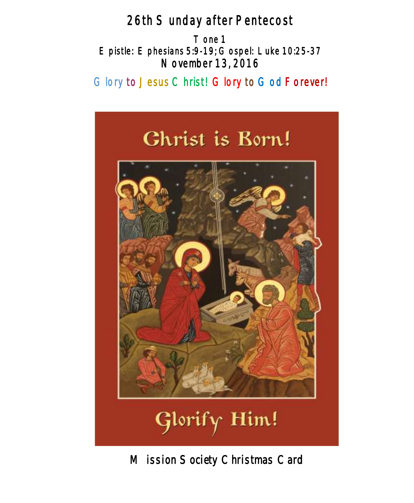# 26th Sunday after Pentecost

Tone 1 Epistle: Ephesians 5:9-19; Gospel: Luke 10:25-37 November 13, 2016

# Glory to Jesus Christ! Glory to God Forever!



*Mission Society Christmas Card*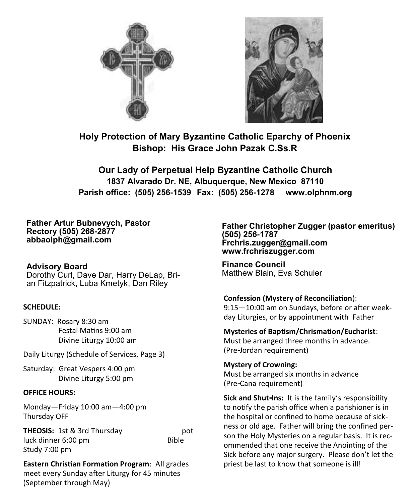



**Holy Protection of Mary Byzantine Catholic Eparchy of Phoenix Bishop: His Grace John Pazak C.Ss.R**

**Our Lady of Perpetual Help Byzantine Catholic Church 1837 Alvarado Dr. NE, Albuquerque, New Mexico 87110 Parish office: (505) 256-1539 Fax: (505) 256-1278 www.olphnm.org**

**Father Artur Bubnevych, Pastor Rectory (505) 268-2877 abbaolph@gmail.com** 

# **Advisory Board**

Dorothy Curl, Dave Dar, Harry DeLap, Brian Fitzpatrick, Luba Kmetyk, Dan Riley

#### **SCHEDULE:**

SUNDAY: Rosary 8:30 am Festal Matins 9:00 am Divine Liturgy 10:00 am

Daily Liturgy (Schedule of Services, Page 3)

Saturday: Great Vespers 4:00 pm Divine Liturgy 5:00 pm

#### **OFFICE HOURS:**

Monday—Friday 10:00 am—4:00 pm Thursday OFF

**THEOSIS:** 1st & 3rd Thursday pot luck dinner 6:00 pm Bible Study 7:00 pm

**Eastern Christian Formation Program**: All grades meet every Sunday after Liturgy for 45 minutes (September through May)

**Father Christopher Zugger (pastor emeritus) (505) 256-1787 Frchris.zugger@gmail.com www.frchriszugger.com** 

**Finance Council**  Matthew Blain, Eva Schuler

#### **Confession (Mystery of Reconciliation**):

9:15—10:00 am on Sundays, before or after weekday Liturgies, or by appointment with Father

**Mysteries of Baptism/Chrismation/Eucharist**: Must be arranged three months in advance. (Pre-Jordan requirement)

**Mystery of Crowning:**  Must be arranged six months in advance (Pre-Cana requirement)

**Sick and Shut-Ins:** It is the family's responsibility to notify the parish office when a parishioner is in the hospital or confined to home because of sickness or old age. Father will bring the confined person the Holy Mysteries on a regular basis. It is recommended that one receive the Anointing of the Sick before any major surgery. Please don't let the priest be last to know that someone is ill!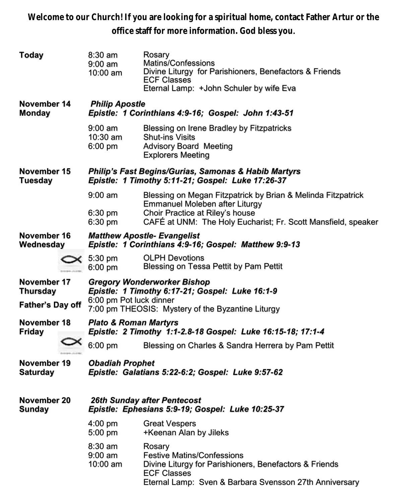**Welcome to our Church! If you are looking for a spiritual home, contact Father Artur or the office staff for more information. God bless you.**

| Today                                                     |  | $8:30$ am<br>$9:00$ am<br>10:00 am                                                                                                                                    | Rosary<br>Matins/Confessions<br>Divine Liturgy for Parishioners, Benefactors & Friends<br><b>ECF Classes</b><br>Eternal Lamp: +John Schuler by wife Eva                                            |  |  |  |
|-----------------------------------------------------------|--|-----------------------------------------------------------------------------------------------------------------------------------------------------------------------|----------------------------------------------------------------------------------------------------------------------------------------------------------------------------------------------------|--|--|--|
| November 14<br><b>Monday</b>                              |  | <b>Philip Apostle</b><br>Epistle: 1 Corinthians 4:9-16; Gospel: John 1:43-51                                                                                          |                                                                                                                                                                                                    |  |  |  |
|                                                           |  | $9:00$ am<br>10:30 am<br>6:00 pm                                                                                                                                      | Blessing on Irene Bradley by Fitzpatricks<br><b>Shut-ins Visits</b><br><b>Advisory Board Meeting</b><br><b>Explorers Meeting</b>                                                                   |  |  |  |
| November 15<br>Tuesday                                    |  | <b>Philip's Fast Begins/Gurias, Samonas &amp; Habib Martyrs</b><br>Epistle: 1 Timothy 5:11-21; Gospel: Luke 17:26-37                                                  |                                                                                                                                                                                                    |  |  |  |
|                                                           |  | $9:00 \text{ am}$<br>$6:30$ pm<br>$6:30$ pm                                                                                                                           | Blessing on Megan Fitzpatrick by Brian & Melinda Fitzpatrick<br>Emmanuel Moleben after Liturgy<br>Choir Practice at Riley's house<br>CAFÉ at UNM: The Holy Eucharist; Fr. Scott Mansfield, speaker |  |  |  |
| November 16<br>Wednesday                                  |  | <b>Matthew Apostle- Evangelist</b><br>Epistle: 1 Corinthians 4:9-16; Gospel: Matthew 9:9-13                                                                           |                                                                                                                                                                                                    |  |  |  |
|                                                           |  | $\times$ 5:30 pm<br>$6:00$ pm                                                                                                                                         | <b>OLPH Devotions</b><br>Blessing on Tessa Pettit by Pam Pettit                                                                                                                                    |  |  |  |
| November 17<br><b>Thursday</b><br><b>Father's Day off</b> |  | <b>Gregory Wonderworker Bishop</b><br>Epistle: 1 Timothy 6:17-21; Gospel: Luke 16:1-9<br>6:00 pm Pot luck dinner<br>7:00 pm THEOSIS: Mystery of the Byzantine Liturgy |                                                                                                                                                                                                    |  |  |  |
| November 18<br><b>Friday</b>                              |  | <b>Plato &amp; Roman Martyrs</b><br>Epistle: 2 Timothy 1:1-2.8-18 Gospel: Luke 16:15-18; 17:1-4                                                                       |                                                                                                                                                                                                    |  |  |  |
|                                                           |  | 6:00 pm                                                                                                                                                               | Blessing on Charles & Sandra Herrera by Pam Pettit                                                                                                                                                 |  |  |  |
| November 19<br><b>Saturday</b>                            |  | <b>Obadiah Prophet</b><br>Epistle: Galatians 5:22-6:2; Gospel: Luke 9:57-62                                                                                           |                                                                                                                                                                                                    |  |  |  |
| November 20<br>Sunday                                     |  | <b>26th Sunday after Pentecost</b><br>Epistle: Ephesians 5:9-19; Gospel: Luke 10:25-37                                                                                |                                                                                                                                                                                                    |  |  |  |
|                                                           |  | 4:00 pm<br>5:00 pm                                                                                                                                                    | <b>Great Vespers</b><br>+Keenan Alan by Jileks                                                                                                                                                     |  |  |  |
|                                                           |  | 8:30 am<br>$9:00$ am<br>10:00 am                                                                                                                                      | Rosary<br><b>Festive Matins/Confessions</b><br>Divine Liturgy for Parishioners, Benefactors & Friends<br><b>ECF Classes</b><br>Eternal Lamp: Sven & Barbara Svensson 27th Anniversary              |  |  |  |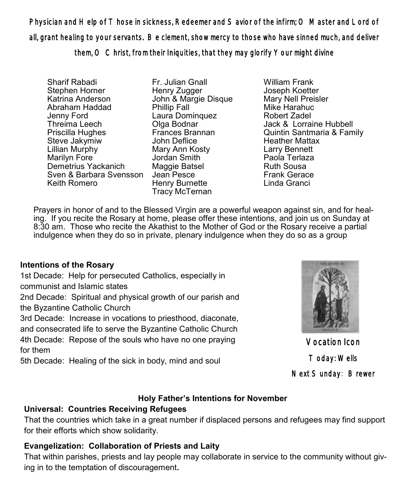Physician and Help of Those in sickness, Redeemer and Savior of the infirm; O Master and Lord of all, grant healing to your servants. Be clement, show mercy to those who have sinned much, and deliver them, O Christ, from their Iniquities, that they may glorify Your might divine

Sharif Rabadi Stephen Horner Katrina Anderson Abraham Haddad Jenny Ford Threima Leech Priscilla Hughes Steve Jakymiw Lillian Murphy Marilyn Fore Demetrius Yackanich Sven & Barbara Svensson Keith Romero

Fr. Julian Gnall Henry Zugger John & Margie Disque Phillip Fall Laura Dominquez Olga Bodnar Frances Brannan John Deflice Mary Ann Kosty Jordan Smith Maggie Batsel Jean Pesce Henry Burnette Tracy McTernan

William Frank Joseph Koetter Mary Nell Preisler Mike Harahuc Robert Zadel Jack & Lorraine Hubbell Quintin Santmaria & Family Heather Mattax Larry Bennett Paola Terlaza Ruth Sousa Frank Gerace Linda Granci

Prayers in honor of and to the Blessed Virgin are a powerful weapon against sin, and for healing. If you recite the Rosary at home, please offer these intentions, and join us on Sunday at 8:30 am. Those who recite the Akathist to the Mother of God or the Rosary receive a partial indulgence when they do so in private, plenary indulgence when they do so as a group

## **Intentions of the Rosary**

1st Decade: Help for persecuted Catholics, especially in communist and Islamic states

2nd Decade: Spiritual and physical growth of our parish and the Byzantine Catholic Church

3rd Decade: Increase in vocations to priesthood, diaconate,

and consecrated life to serve the Byzantine Catholic Church

4th Decade: Repose of the souls who have no one praying for them

5th Decade: Healing of the sick in body, mind and soul



Vocation Icon Today: Wells Next Sunday: Brewer

# **Holy Father's Intentions for November**

## **Universal: Countries Receiving Refugees**

That the countries which take in a great number if displaced persons and refugees may find support for their efforts which show solidarity.

## **Evangelization: Collaboration of Priests and Laity**

That within parishes, priests and lay people may collaborate in service to the community without giving in to the temptation of discouragement**.**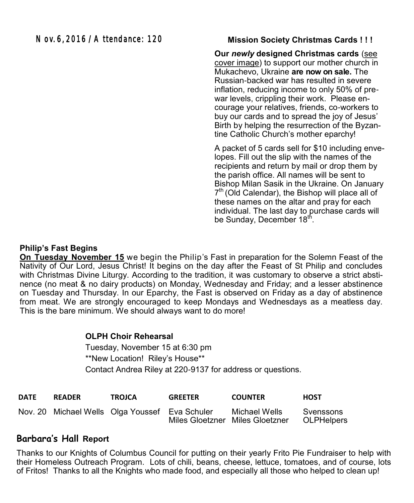#### **Mission Society Christmas Cards ! ! !**

**Our** *newly* **designed Christmas cards** (see cover image) to support our mother church in Mukachevo, Ukraine **are now on sale.** The Russian-backed war has resulted in severe inflation, reducing income to only 50% of prewar levels, crippling their work. Please encourage your relatives, friends, co-workers to buy our cards and to spread the joy of Jesus' Birth by helping the resurrection of the Byzantine Catholic Church's mother eparchy!

A packet of 5 cards sell for \$10 including envelopes. Fill out the slip with the names of the recipients and return by mail or drop them by the parish office. All names will be sent to Bishop Milan Sasik in the Ukraine. On January 7<sup>th</sup> (Old Calendar), the Bishop will place all of these names on the altar and pray for each individual. The last day to purchase cards will be Sunday, December 18<sup>th</sup>.

### **Philip's Fast Begins**

**On Tuesday November 15** we begin the Philip's Fast in preparation for the Solemn Feast of the Nativity of Our Lord, Jesus Christ! It begins on the day after the Feast of St Philip and concludes with Christmas Divine Liturgy. According to the tradition, it was customary to observe a strict abstinence (no meat & no dairy products) on Monday, Wednesday and Friday; and a lesser abstinence on Tuesday and Thursday. In our Eparchy, the Fast is observed on Friday as a day of abstinence from meat. We are strongly encouraged to keep Mondays and Wednesdays as a meatless day. This is the bare minimum. We should always want to do more!

#### **OLPH Choir Rehearsal**

Tuesday, November 15 at 6:30 pm \*\*New Location! Riley's House\*\* Contact Andrea Riley at 220-9137 for address or questions.

| <b>DATE</b> | <b>READER</b> | TROJCA                                         | <b>GREETER</b> | <b>COUNTER</b>                                   | <b>HOST</b>             |
|-------------|---------------|------------------------------------------------|----------------|--------------------------------------------------|-------------------------|
|             |               | Nov. 20 Michael Wells Olga Youssef Eva Schuler |                | Michael Wells<br>Miles Gloetzner Miles Gloetzner | Svenssons<br>OLPHelpers |

# **Barbara's Hall Report**

Thanks to our Knights of Columbus Council for putting on their yearly Frito Pie Fundraiser to help with their Homeless Outreach Program. Lots of chili, beans, cheese, lettuce, tomatoes, and of course, lots of Fritos! Thanks to all the Knights who made food, and especially all those who helped to clean up!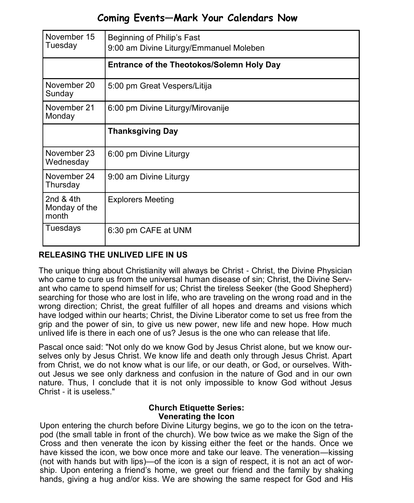# **Coming Events—Mark Your Calendars Now**

| November 15<br>Tuesday               | Beginning of Philip's Fast<br>9:00 am Divine Liturgy/Emmanuel Moleben |  |  |
|--------------------------------------|-----------------------------------------------------------------------|--|--|
|                                      | Entrance of the Theotokos/Solemn Holy Day                             |  |  |
| November 20<br>Sunday                | 5:00 pm Great Vespers/Litija                                          |  |  |
| November 21<br>Monday                | 6:00 pm Divine Liturgy/Mirovanije                                     |  |  |
|                                      | <b>Thanksgiving Day</b>                                               |  |  |
| November 23<br>Wednesday             | 6:00 pm Divine Liturgy                                                |  |  |
| November 24<br>Thursday              | 9:00 am Divine Liturgy                                                |  |  |
| 2nd $&4th$<br>Monday of the<br>month | <b>Explorers Meeting</b>                                              |  |  |
| Tuesdays                             | 6:30 pm CAFE at UNM                                                   |  |  |

# **RELEASING THE UNLIVED LIFE IN US**

The unique thing about Christianity will always be Christ - Christ, the Divine Physician who came to cure us from the universal human disease of sin; Christ, the Divine Servant who came to spend himself for us; Christ the tireless Seeker (the Good Shepherd) searching for those who are lost in life, who are traveling on the wrong road and in the wrong direction; Christ, the great fulfiller of all hopes and dreams and visions which have lodged within our hearts; Christ, the Divine Liberator come to set us free from the grip and the power of sin, to give us new power, new life and new hope. How much unlived life is there in each one of us? Jesus is the one who can release that life.

Pascal once said: "Not only do we know God by Jesus Christ alone, but we know ourselves only by Jesus Christ. We know life and death only through Jesus Christ. Apart from Christ, we do not know what is our life, or our death, or God, or ourselves. Without Jesus we see only darkness and confusion in the nature of God and in our own nature. Thus, I conclude that it is not only impossible to know God without Jesus Christ - it is useless."

#### **Church Etiquette Series: Venerating the Icon**

Upon entering the church before Divine Liturgy begins, we go to the icon on the tetrapod (the small table in front of the church). We bow twice as we make the Sign of the Cross and then venerate the icon by kissing either the feet or the hands. Once we have kissed the icon, we bow once more and take our leave. The veneration—kissing (not with hands but with lips)—of the icon is a sign of respect, it is not an act of worship. Upon entering a friend's home, we greet our friend and the family by shaking hands, giving a hug and/or kiss. We are showing the same respect for God and His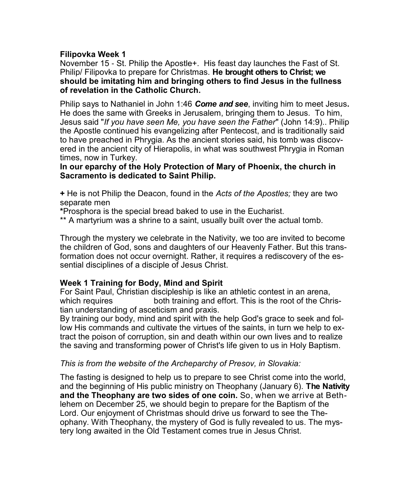#### **Filipovka Week 1**

November 15 - St. Philip the Apostle+. His feast day launches the Fast of St. Philip/ Filipovka to prepare for Christmas. **He brought others to Christ; we should be imitating him and bringing others to find Jesus in the fullness of revelation in the Catholic Church.** 

Philip says to Nathaniel in John 1:46 *Come and see*, inviting him to meet Jesus**.** He does the same with Greeks in Jerusalem, bringing them to Jesus. To him, Jesus said "*If you have seen Me, you have seen the Father*" (John 14:9).. Philip the Apostle continued his evangelizing after Pentecost, and is traditionally said to have preached in Phrygia. As the ancient stories said, his tomb was discovered in the ancient city of Hierapolis, in what was southwest Phrygia in Roman times, now in Turkey.

#### **In our eparchy of the Holy Protection of Mary of Phoenix, the church in Sacramento is dedicated to Saint Philip.**

**+** He is not Philip the Deacon, found in the *Acts of the Apostles;* they are two separate men

**\***Prosphora is the special bread baked to use in the Eucharist.

\*\* A martyrium was a shrine to a saint, usually built over the actual tomb.

Through the mystery we celebrate in the Nativity, we too are invited to become the children of God, sons and daughters of our Heavenly Father. But this transformation does not occur overnight. Rather, it requires a rediscovery of the essential disciplines of a disciple of Jesus Christ.

#### **Week 1 Training for Body, Mind and Spirit**

For Saint Paul, Christian discipleship is like an athletic contest in an arena, which requires both training and effort. This is the root of the Christian understanding of asceticism and praxis.

By training our body, mind and spirit with the help God's grace to seek and follow His commands and cultivate the virtues of the saints, in turn we help to extract the poison of corruption, sin and death within our own lives and to realize the saving and transforming power of Christ's life given to us in Holy Baptism.

#### *This is from the website of the Archeparchy of Presov, in Slovakia:*

The fasting is designed to help us to prepare to see Christ come into the world, and the beginning of His public ministry on Theophany (January 6). **The Nativity and the Theophany are two sides of one coin.** So, when we arrive at Bethlehem on December 25, we should begin to prepare for the Baptism of the Lord. Our enjoyment of Christmas should drive us forward to see the Theophany. With Theophany, the mystery of God is fully revealed to us. The mystery long awaited in the Old Testament comes true in Jesus Christ.